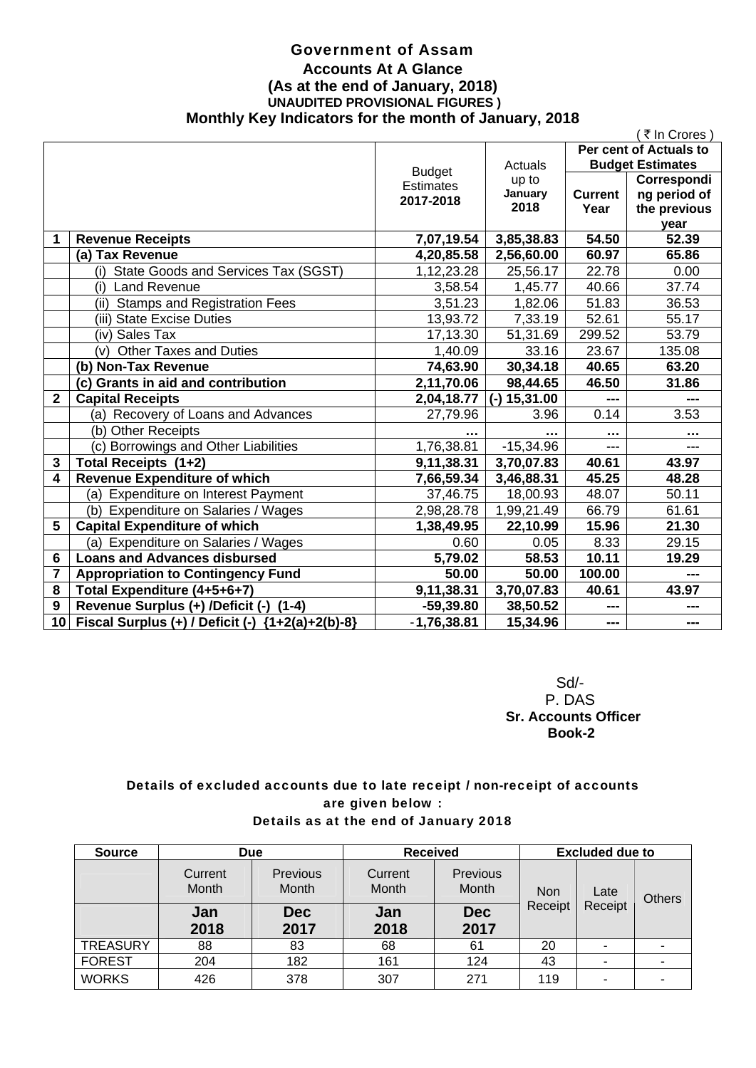### Government of Assam **Accounts At A Glance (As at the end of January, 2018) UNAUDITED PROVISIONAL FIGURES ) Monthly Key Indicators for the month of January, 2018**

|                |                                                       |                  |             |                         | ₹ In Crores)  |
|----------------|-------------------------------------------------------|------------------|-------------|-------------------------|---------------|
|                |                                                       |                  |             | Per cent of Actuals to  |               |
|                |                                                       | <b>Budget</b>    | Actuals     | <b>Budget Estimates</b> |               |
|                |                                                       | <b>Estimates</b> | up to       |                         | Correspondi   |
|                |                                                       | 2017-2018        | January     | <b>Current</b>          | ng period of  |
|                |                                                       |                  | 2018        | Year                    | the previous  |
|                |                                                       |                  |             |                         | year          |
| 1              | <b>Revenue Receipts</b>                               | 7,07,19.54       | 3,85,38.83  | 54.50                   | 52.39         |
|                | (a) Tax Revenue                                       | 4,20,85.58       | 2,56,60.00  | 60.97                   | 65.86         |
|                | (i) State Goods and Services Tax (SGST)               | 1,12,23.28       | 25,56.17    | 22.78                   | 0.00          |
|                | <b>Land Revenue</b><br>(i)                            | 3,58.54          | 1,45.77     | 40.66                   | 37.74         |
|                | <b>Stamps and Registration Fees</b><br>(ii)           | 3,51.23          | 1,82.06     | 51.83                   | 36.53         |
|                | (iii) State Excise Duties                             | 13,93.72         | 7,33.19     | 52.61                   | 55.17         |
|                | (iv) Sales Tax                                        | 17,13.30         | 51,31.69    | 299.52                  | 53.79         |
|                | (v) Other Taxes and Duties                            | 1,40.09          | 33.16       | 23.67                   | 135.08        |
|                | (b) Non-Tax Revenue                                   | 74,63.90         | 30,34.18    | 40.65                   | 63.20         |
|                | (c) Grants in aid and contribution                    | 2,11,70.06       | 98,44.65    | 46.50                   | 31.86         |
| $\mathbf{2}$   | <b>Capital Receipts</b>                               | 2,04,18.77       | 15,31.00    | ---                     |               |
|                | (a) Recovery of Loans and Advances                    | 27,79.96         | 3.96        | 0.14                    | 3.53          |
|                | (b) Other Receipts                                    |                  |             | $\cdots$                | $\sim$ $\sim$ |
|                | (c) Borrowings and Other Liabilities                  | 1,76,38.81       | $-15,34.96$ | ---                     | $---$         |
| 3              | Total Receipts (1+2)                                  | 9,11,38.31       | 3,70,07.83  | 40.61                   | 43.97         |
| 4              | <b>Revenue Expenditure of which</b>                   | 7,66,59.34       | 3,46,88.31  | 45.25                   | 48.28         |
|                | (a) Expenditure on Interest Payment                   | 37,46.75         | 18,00.93    | 48.07                   | 50.11         |
|                | (b) Expenditure on Salaries / Wages                   | 2,98,28.78       | 1,99,21.49  | 66.79                   | 61.61         |
| 5              | <b>Capital Expenditure of which</b>                   | 1,38,49.95       | 22,10.99    | 15.96                   | 21.30         |
|                | (a) Expenditure on Salaries / Wages                   | 0.60             | 0.05        | 8.33                    | 29.15         |
| 6              | <b>Loans and Advances disbursed</b>                   | 5,79.02          | 58.53       | 10.11                   | 19.29         |
| $\overline{7}$ | <b>Appropriation to Contingency Fund</b>              | 50.00            | 50.00       | 100.00                  | ---           |
| 8              | Total Expenditure (4+5+6+7)                           | 9,11,38.31       | 3,70,07.83  | 40.61                   | 43.97         |
| 9              | Revenue Surplus (+) /Deficit (-)<br>$(1-4)$           | $-59,39.80$      | 38,50.52    | ---                     |               |
| 10             | Fiscal Surplus (+) / Deficit (-)<br>${1+2(a)+2(b)-8}$ | $-1,76,38.81$    | 15,34.96    | ---                     | $- - -$       |

 Sd/- P. DAS  **Sr. Accounts Officer Book-2** 

### Details of excluded accounts due to late receipt / non-receipt of accounts are given below : Details as at the end of January 2018

| <b>Source</b>   | <b>Due</b>       |                          | <b>Received</b>  |                          | <b>Excluded due to</b> |         |   |               |
|-----------------|------------------|--------------------------|------------------|--------------------------|------------------------|---------|---|---------------|
|                 | Current<br>Month | Previous<br><b>Month</b> | Current<br>Month | Previous<br><b>Month</b> | <b>Non</b>             | Late    |   | <b>Others</b> |
|                 | Jan<br>2018      | <b>Dec</b><br>2017       | Jan<br>2018      | <b>Dec</b><br>2017       | Receipt                | Receipt |   |               |
| <b>TREASURY</b> | 88               | 83                       | 68               | 61                       | 20                     |         |   |               |
| <b>FOREST</b>   | 204              | 182                      | 161              | 124                      | 43                     | ۰       | ۰ |               |
| <b>WORKS</b>    | 426              | 378                      | 307              | 271                      | 119                    | ۰       | ۰ |               |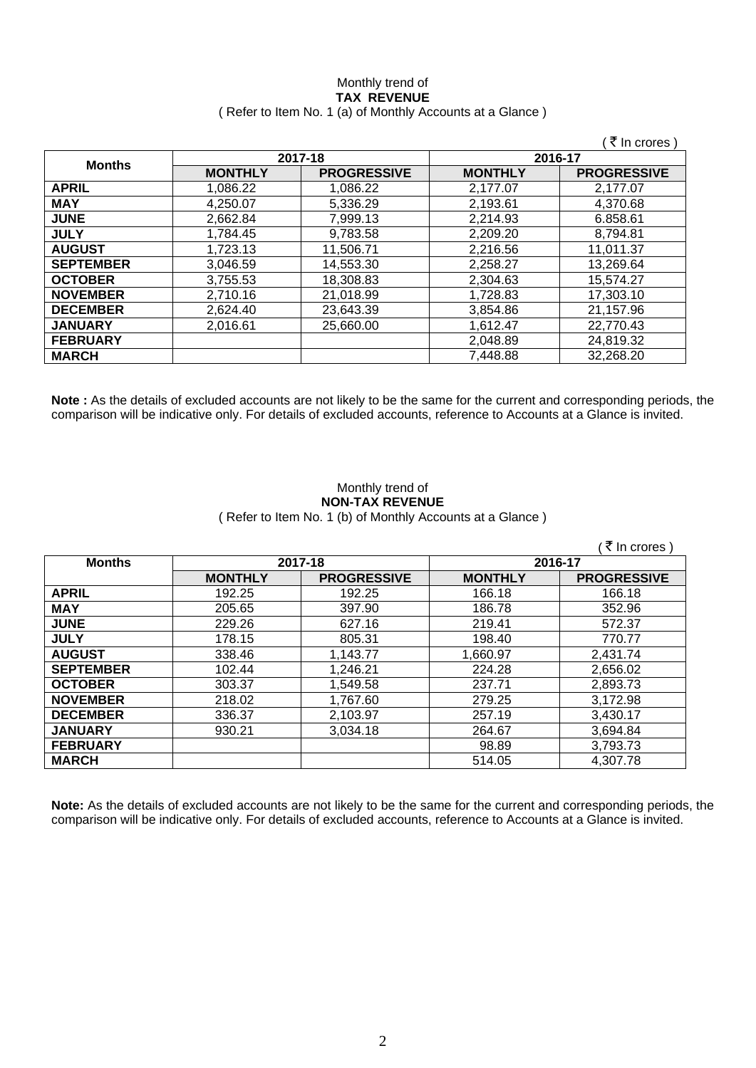### Monthly trend of **TAX REVENUE**  ( Refer to Item No. 1 (a) of Monthly Accounts at a Glance )

|                  |                |                    |                | ∶₹ In crores `     |
|------------------|----------------|--------------------|----------------|--------------------|
|                  | 2017-18        |                    | 2016-17        |                    |
| <b>Months</b>    | <b>MONTHLY</b> | <b>PROGRESSIVE</b> | <b>MONTHLY</b> | <b>PROGRESSIVE</b> |
| <b>APRIL</b>     | 1.086.22       | 1.086.22           | 2,177.07       | 2.177.07           |
| <b>MAY</b>       | 4.250.07       | 5,336.29           | 2,193.61       | 4,370.68           |
| <b>JUNE</b>      | 2,662.84       | 7,999.13           | 2,214.93       | 6.858.61           |
| <b>JULY</b>      | 1.784.45       | 9.783.58           | 2,209.20       | 8.794.81           |
| <b>AUGUST</b>    | 1,723.13       | 11.506.71          | 2,216.56       | 11,011.37          |
| <b>SEPTEMBER</b> | 3.046.59       | 14,553.30          | 2,258.27       | 13,269.64          |
| <b>OCTOBER</b>   | 3,755.53       | 18,308.83          | 2,304.63       | 15,574.27          |
| <b>NOVEMBER</b>  | 2,710.16       | 21,018.99          | 1,728.83       | 17,303.10          |
| <b>DECEMBER</b>  | 2,624.40       | 23,643.39          | 3,854.86       | 21,157.96          |
| <b>JANUARY</b>   | 2,016.61       | 25,660.00          | 1,612.47       | 22,770.43          |
| <b>FEBRUARY</b>  |                |                    | 2,048.89       | 24,819.32          |
| <b>MARCH</b>     |                |                    | 7,448.88       | 32,268.20          |

**Note :** As the details of excluded accounts are not likely to be the same for the current and corresponding periods, the comparison will be indicative only. For details of excluded accounts, reference to Accounts at a Glance is invited.

### Monthly trend of **NON-TAX REVENUE**  ( Refer to Item No. 1 (b) of Monthly Accounts at a Glance )

|                  |                |                    |                | ∶₹ In crores )     |         |  |
|------------------|----------------|--------------------|----------------|--------------------|---------|--|
| <b>Months</b>    | 2017-18        |                    |                |                    | 2016-17 |  |
|                  | <b>MONTHLY</b> | <b>PROGRESSIVE</b> | <b>MONTHLY</b> | <b>PROGRESSIVE</b> |         |  |
| <b>APRIL</b>     | 192.25         | 192.25             | 166.18         | 166.18             |         |  |
| <b>MAY</b>       | 205.65         | 397.90             | 186.78         | 352.96             |         |  |
| <b>JUNE</b>      | 229.26         | 627.16             | 219.41         | 572.37             |         |  |
| <b>JULY</b>      | 178.15         | 805.31             | 198.40         | 770.77             |         |  |
| <b>AUGUST</b>    | 338.46         | 1,143.77           | 1,660.97       | 2,431.74           |         |  |
| <b>SEPTEMBER</b> | 102.44         | 1,246.21           | 224.28         | 2,656.02           |         |  |
| <b>OCTOBER</b>   | 303.37         | 1,549.58           | 237.71         | 2,893.73           |         |  |
| <b>NOVEMBER</b>  | 218.02         | 1,767.60           | 279.25         | 3,172.98           |         |  |
| <b>DECEMBER</b>  | 336.37         | 2,103.97           | 257.19         | 3,430.17           |         |  |
| <b>JANUARY</b>   | 930.21         | 3,034.18           | 264.67         | 3,694.84           |         |  |
| <b>FEBRUARY</b>  |                |                    | 98.89          | 3,793.73           |         |  |
| <b>MARCH</b>     |                |                    | 514.05         | 4,307.78           |         |  |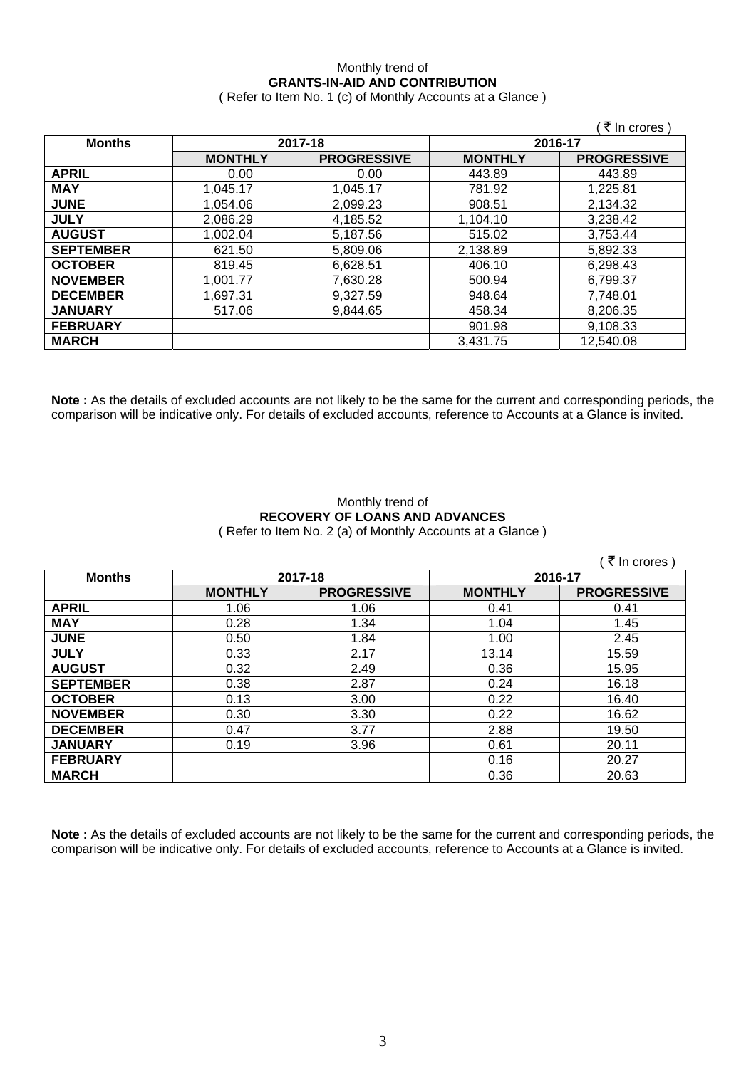# Monthly trend of **GRANTS-IN-AID AND CONTRIBUTION**

( Refer to Item No. 1 (c) of Monthly Accounts at a Glance )

|                  |                |                    |                | ∶₹ In crores )     |
|------------------|----------------|--------------------|----------------|--------------------|
| <b>Months</b>    |                | 2017-18            |                | 2016-17            |
|                  | <b>MONTHLY</b> | <b>PROGRESSIVE</b> | <b>MONTHLY</b> | <b>PROGRESSIVE</b> |
| <b>APRIL</b>     | 0.00           | 0.00               | 443.89         | 443.89             |
| <b>MAY</b>       | 1,045.17       | 1,045.17           | 781.92         | 1,225.81           |
| <b>JUNE</b>      | 1,054.06       | 2,099.23           | 908.51         | 2,134.32           |
| <b>JULY</b>      | 2.086.29       | 4,185.52           | 1,104.10       | 3,238.42           |
| <b>AUGUST</b>    | 1,002.04       | 5,187.56           | 515.02         | 3,753.44           |
| <b>SEPTEMBER</b> | 621.50         | 5,809.06           | 2,138.89       | 5,892.33           |
| <b>OCTOBER</b>   | 819.45         | 6,628.51           | 406.10         | 6,298.43           |
| <b>NOVEMBER</b>  | 1,001.77       | 7,630.28           | 500.94         | 6,799.37           |
| <b>DECEMBER</b>  | 1,697.31       | 9,327.59           | 948.64         | 7,748.01           |
| <b>JANUARY</b>   | 517.06         | 9,844.65           | 458.34         | 8,206.35           |
| <b>FEBRUARY</b>  |                |                    | 901.98         | 9,108.33           |
| <b>MARCH</b>     |                |                    | 3,431.75       | 12,540.08          |

**Note :** As the details of excluded accounts are not likely to be the same for the current and corresponding periods, the comparison will be indicative only. For details of excluded accounts, reference to Accounts at a Glance is invited.

### Monthly trend of **RECOVERY OF LOANS AND ADVANCES**  ( Refer to Item No. 2 (a) of Monthly Accounts at a Glance )

|                  |                |                    |                | ∶ ₹ In crores )    |
|------------------|----------------|--------------------|----------------|--------------------|
| <b>Months</b>    | 2017-18        |                    | 2016-17        |                    |
|                  | <b>MONTHLY</b> | <b>PROGRESSIVE</b> | <b>MONTHLY</b> | <b>PROGRESSIVE</b> |
| <b>APRIL</b>     | 1.06           | 1.06               | 0.41           | 0.41               |
| <b>MAY</b>       | 0.28           | 1.34               | 1.04           | 1.45               |
| <b>JUNE</b>      | 0.50           | 1.84               | 1.00           | 2.45               |
| <b>JULY</b>      | 0.33           | 2.17               | 13.14          | 15.59              |
| <b>AUGUST</b>    | 0.32           | 2.49               | 0.36           | 15.95              |
| <b>SEPTEMBER</b> | 0.38           | 2.87               | 0.24           | 16.18              |
| <b>OCTOBER</b>   | 0.13           | 3.00               | 0.22           | 16.40              |
| <b>NOVEMBER</b>  | 0.30           | 3.30               | 0.22           | 16.62              |
| <b>DECEMBER</b>  | 0.47           | 3.77               | 2.88           | 19.50              |
| <b>JANUARY</b>   | 0.19           | 3.96               | 0.61           | 20.11              |
| <b>FEBRUARY</b>  |                |                    | 0.16           | 20.27              |
| <b>MARCH</b>     |                |                    | 0.36           | 20.63              |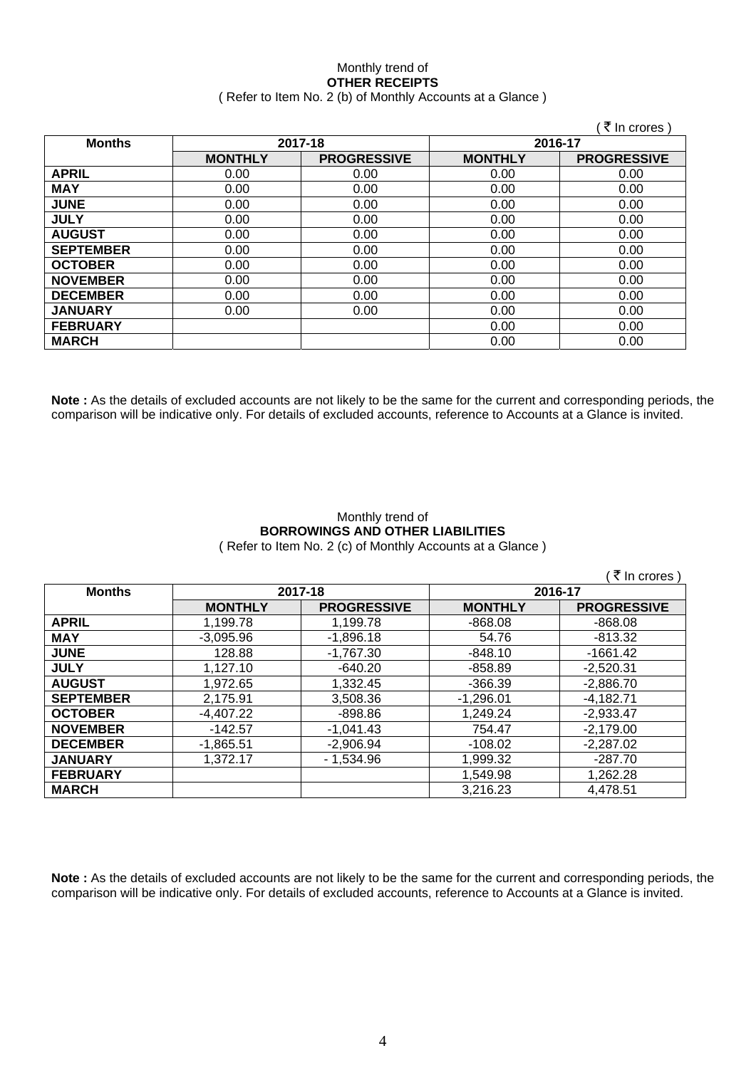### Monthly trend of **OTHER RECEIPTS**  ( Refer to Item No. 2 (b) of Monthly Accounts at a Glance )

|                  |                |                    |                | ∶ ₹ In crores )    |
|------------------|----------------|--------------------|----------------|--------------------|
| <b>Months</b>    | 2017-18        |                    | 2016-17        |                    |
|                  | <b>MONTHLY</b> | <b>PROGRESSIVE</b> | <b>MONTHLY</b> | <b>PROGRESSIVE</b> |
| <b>APRIL</b>     | 0.00           | 0.00               | 0.00           | 0.00               |
| <b>MAY</b>       | 0.00           | 0.00               | 0.00           | 0.00               |
| <b>JUNE</b>      | 0.00           | 0.00               | 0.00           | 0.00               |
| <b>JULY</b>      | 0.00           | 0.00               | 0.00           | 0.00               |
| <b>AUGUST</b>    | 0.00           | 0.00               | 0.00           | 0.00               |
| <b>SEPTEMBER</b> | 0.00           | 0.00               | 0.00           | 0.00               |
| <b>OCTOBER</b>   | 0.00           | 0.00               | 0.00           | 0.00               |
| <b>NOVEMBER</b>  | 0.00           | 0.00               | 0.00           | 0.00               |
| <b>DECEMBER</b>  | 0.00           | 0.00               | 0.00           | 0.00               |
| <b>JANUARY</b>   | 0.00           | 0.00               | 0.00           | 0.00               |
| <b>FEBRUARY</b>  |                |                    | 0.00           | 0.00               |
| <b>MARCH</b>     |                |                    | 0.00           | 0.00               |

**Note :** As the details of excluded accounts are not likely to be the same for the current and corresponding periods, the comparison will be indicative only. For details of excluded accounts, reference to Accounts at a Glance is invited.

### Monthly trend of **BORROWINGS AND OTHER LIABILITIES**  ( Refer to Item No. 2 (c) of Monthly Accounts at a Glance )

| ∶₹ In crores )   |                |                    |                |                    |  |
|------------------|----------------|--------------------|----------------|--------------------|--|
| <b>Months</b>    |                | 2017-18            |                | 2016-17            |  |
|                  | <b>MONTHLY</b> | <b>PROGRESSIVE</b> | <b>MONTHLY</b> | <b>PROGRESSIVE</b> |  |
| <b>APRIL</b>     | 1,199.78       | 1,199.78           | $-868.08$      | $-868.08$          |  |
| <b>MAY</b>       | $-3.095.96$    | $-1,896.18$        | 54.76          | $-813.32$          |  |
| <b>JUNE</b>      | 128.88         | $-1,767.30$        | $-848.10$      | $-1661.42$         |  |
| <b>JULY</b>      | 1.127.10       | $-640.20$          | $-858.89$      | $-2,520.31$        |  |
| <b>AUGUST</b>    | 1.972.65       | 1,332.45           | $-366.39$      | $-2,886.70$        |  |
| <b>SEPTEMBER</b> | 2.175.91       | 3,508.36           | $-1,296.01$    | $-4,182.71$        |  |
| <b>OCTOBER</b>   | $-4.407.22$    | -898.86            | 1.249.24       | $-2.933.47$        |  |
| <b>NOVEMBER</b>  | $-142.57$      | $-1,041.43$        | 754.47         | $-2,179.00$        |  |
| <b>DECEMBER</b>  | $-1.865.51$    | $-2,906.94$        | -108.02        | $-2.287.02$        |  |
| <b>JANUARY</b>   | 1.372.17       | - 1.534.96         | 1,999.32       | $-287.70$          |  |
| <b>FEBRUARY</b>  |                |                    | 1.549.98       | 1,262.28           |  |
| <b>MARCH</b>     |                |                    | 3.216.23       | 4.478.51           |  |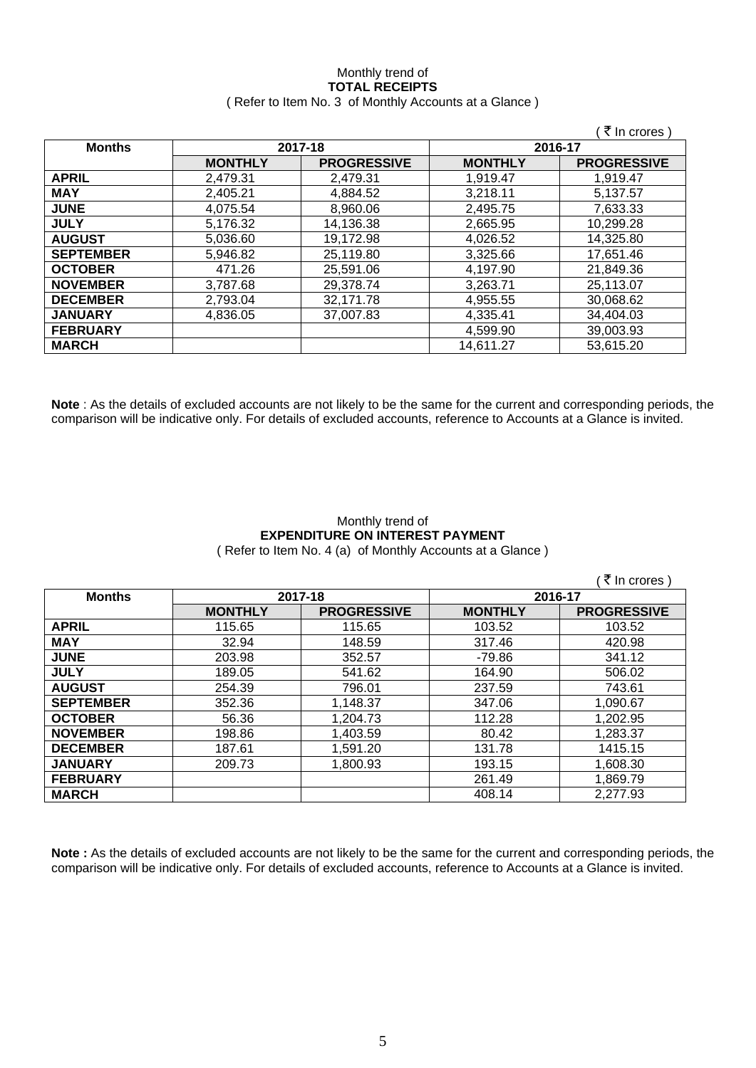# Monthly trend of **TOTAL RECEIPTS**

|  | (Refer to Item No. 3 of Monthly Accounts at a Glance) |  |
|--|-------------------------------------------------------|--|
|--|-------------------------------------------------------|--|

|                  |                |                    |                | ₹ In crores)       |
|------------------|----------------|--------------------|----------------|--------------------|
| <b>Months</b>    |                | 2017-18            | 2016-17        |                    |
|                  | <b>MONTHLY</b> | <b>PROGRESSIVE</b> | <b>MONTHLY</b> | <b>PROGRESSIVE</b> |
| <b>APRIL</b>     | 2,479.31       | 2,479.31           | 1,919.47       | 1,919.47           |
| <b>MAY</b>       | 2,405.21       | 4,884.52           | 3,218.11       | 5,137.57           |
| <b>JUNE</b>      | 4,075.54       | 8,960.06           | 2,495.75       | 7,633.33           |
| <b>JULY</b>      | 5,176.32       | 14,136.38          | 2,665.95       | 10,299.28          |
| <b>AUGUST</b>    | 5,036.60       | 19,172.98          | 4,026.52       | 14,325.80          |
| <b>SEPTEMBER</b> | 5,946.82       | 25,119.80          | 3,325.66       | 17,651.46          |
| <b>OCTOBER</b>   | 471.26         | 25,591.06          | 4,197.90       | 21,849.36          |
| <b>NOVEMBER</b>  | 3,787.68       | 29,378.74          | 3,263.71       | 25,113.07          |
| <b>DECEMBER</b>  | 2,793.04       | 32,171.78          | 4,955.55       | 30,068.62          |
| <b>JANUARY</b>   | 4,836.05       | 37,007.83          | 4,335.41       | 34,404.03          |
| <b>FEBRUARY</b>  |                |                    | 4,599.90       | 39,003.93          |
| <b>MARCH</b>     |                |                    | 14,611.27      | 53,615.20          |

**Note** : As the details of excluded accounts are not likely to be the same for the current and corresponding periods, the comparison will be indicative only. For details of excluded accounts, reference to Accounts at a Glance is invited.

## Monthly trend of **EXPENDITURE ON INTEREST PAYMENT**

( Refer to Item No. 4 (a) of Monthly Accounts at a Glance )

|                  |                |                    |                | ₹ In crores        |
|------------------|----------------|--------------------|----------------|--------------------|
| <b>Months</b>    |                | 2017-18            |                | 2016-17            |
|                  | <b>MONTHLY</b> | <b>PROGRESSIVE</b> | <b>MONTHLY</b> | <b>PROGRESSIVE</b> |
| <b>APRIL</b>     | 115.65         | 115.65             | 103.52         | 103.52             |
| <b>MAY</b>       | 32.94          | 148.59             | 317.46         | 420.98             |
| <b>JUNE</b>      | 203.98         | 352.57             | -79.86         | 341.12             |
| <b>JULY</b>      | 189.05         | 541.62             | 164.90         | 506.02             |
| <b>AUGUST</b>    | 254.39         | 796.01             | 237.59         | 743.61             |
| <b>SEPTEMBER</b> | 352.36         | 1,148.37           | 347.06         | 1,090.67           |
| <b>OCTOBER</b>   | 56.36          | 1,204.73           | 112.28         | 1,202.95           |
| <b>NOVEMBER</b>  | 198.86         | 1,403.59           | 80.42          | 1,283.37           |
| <b>DECEMBER</b>  | 187.61         | 1,591.20           | 131.78         | 1415.15            |
| <b>JANUARY</b>   | 209.73         | 1,800.93           | 193.15         | 1,608.30           |
| <b>FEBRUARY</b>  |                |                    | 261.49         | 1,869.79           |
| <b>MARCH</b>     |                |                    | 408.14         | 2,277.93           |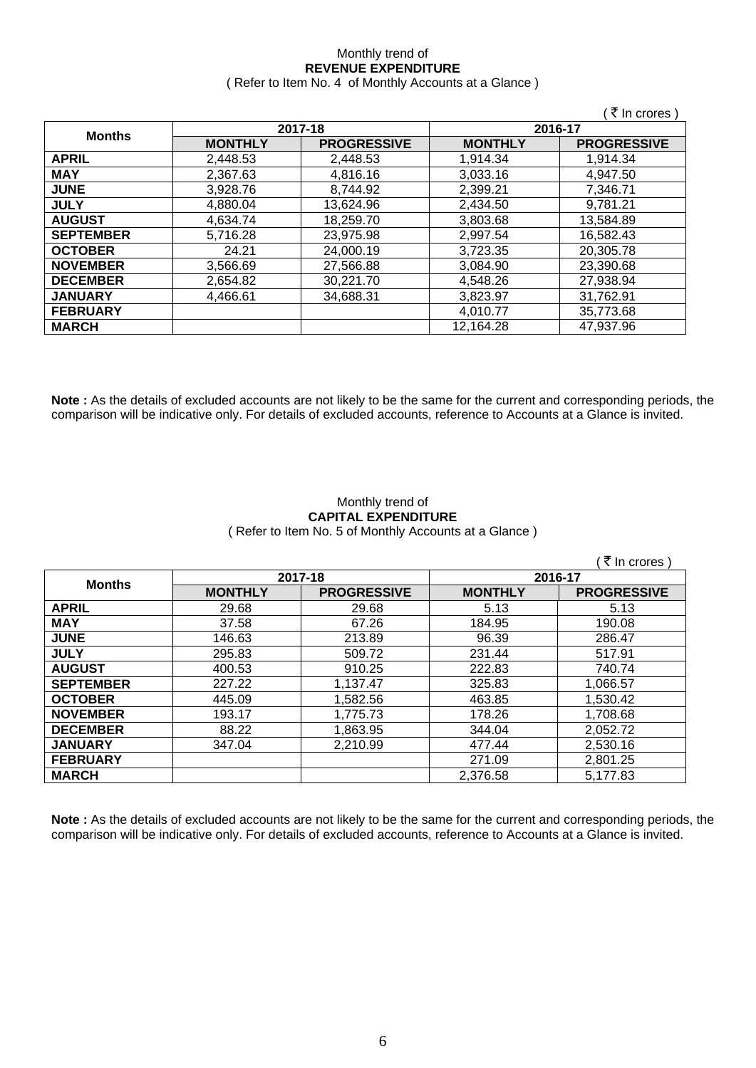### Monthly trend of **REVENUE EXPENDITURE**  ( Refer to Item No. 4 of Monthly Accounts at a Glance )

|                  |                |                    |                | ( ₹ In crores )    |
|------------------|----------------|--------------------|----------------|--------------------|
| <b>Months</b>    |                | 2017-18            |                | 2016-17            |
|                  | <b>MONTHLY</b> | <b>PROGRESSIVE</b> | <b>MONTHLY</b> | <b>PROGRESSIVE</b> |
| <b>APRIL</b>     | 2,448.53       | 2,448.53           | 1,914.34       | 1,914.34           |
| <b>MAY</b>       | 2,367.63       | 4,816.16           | 3,033.16       | 4,947.50           |
| <b>JUNE</b>      | 3,928.76       | 8,744.92           | 2,399.21       | 7,346.71           |
| <b>JULY</b>      | 4.880.04       | 13,624.96          | 2,434.50       | 9,781.21           |
| <b>AUGUST</b>    | 4,634.74       | 18,259.70          | 3,803.68       | 13,584.89          |
| <b>SEPTEMBER</b> | 5.716.28       | 23.975.98          | 2.997.54       | 16.582.43          |
| <b>OCTOBER</b>   | 24.21          | 24,000.19          | 3.723.35       | 20,305.78          |
| <b>NOVEMBER</b>  | 3,566.69       | 27,566.88          | 3,084.90       | 23,390.68          |
| <b>DECEMBER</b>  | 2,654.82       | 30,221.70          | 4,548.26       | 27,938.94          |
| <b>JANUARY</b>   | 4,466.61       | 34,688.31          | 3,823.97       | 31,762.91          |
| <b>FEBRUARY</b>  |                |                    | 4,010.77       | 35,773.68          |
| <b>MARCH</b>     |                |                    | 12,164.28      | 47,937.96          |

**Note :** As the details of excluded accounts are not likely to be the same for the current and corresponding periods, the comparison will be indicative only. For details of excluded accounts, reference to Accounts at a Glance is invited.

### Monthly trend of **CAPITAL EXPENDITURE**  ( Refer to Item No. 5 of Monthly Accounts at a Glance )

|                  |                |                    |                | ं ₹ In crores )    |
|------------------|----------------|--------------------|----------------|--------------------|
| <b>Months</b>    | 2017-18        |                    | 2016-17        |                    |
|                  | <b>MONTHLY</b> | <b>PROGRESSIVE</b> | <b>MONTHLY</b> | <b>PROGRESSIVE</b> |
| <b>APRIL</b>     | 29.68          | 29.68              | 5.13           | 5.13               |
| <b>MAY</b>       | 37.58          | 67.26              | 184.95         | 190.08             |
| <b>JUNE</b>      | 146.63         | 213.89             | 96.39          | 286.47             |
| <b>JULY</b>      | 295.83         | 509.72             | 231.44         | 517.91             |
| <b>AUGUST</b>    | 400.53         | 910.25             | 222.83         | 740.74             |
| <b>SEPTEMBER</b> | 227.22         | 1,137.47           | 325.83         | 1,066.57           |
| <b>OCTOBER</b>   | 445.09         | 1,582.56           | 463.85         | 1,530.42           |
| <b>NOVEMBER</b>  | 193.17         | 1,775.73           | 178.26         | 1,708.68           |
| <b>DECEMBER</b>  | 88.22          | 1,863.95           | 344.04         | 2,052.72           |
| <b>JANUARY</b>   | 347.04         | 2,210.99           | 477.44         | 2,530.16           |
| <b>FEBRUARY</b>  |                |                    | 271.09         | 2,801.25           |
| <b>MARCH</b>     |                |                    | 2,376.58       | 5,177.83           |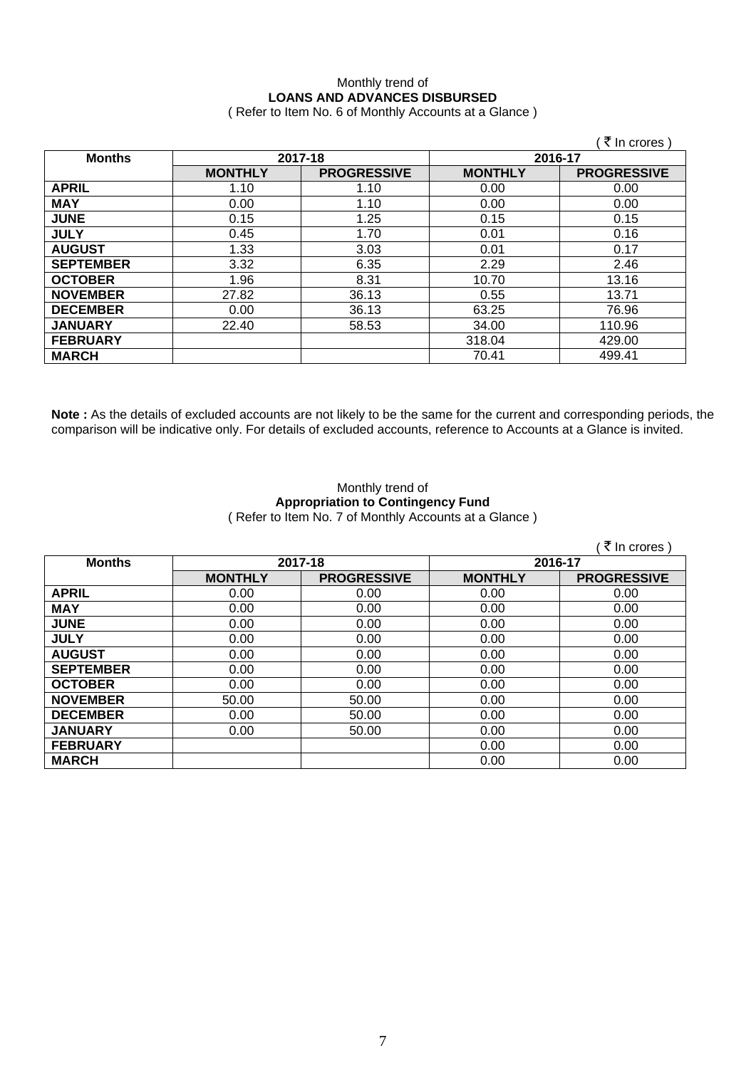### Monthly trend of **LOANS AND ADVANCES DISBURSED**  ( Refer to Item No. 6 of Monthly Accounts at a Glance )

|                  |                |                    |                | ∶ <i>₹</i> In crores ) |
|------------------|----------------|--------------------|----------------|------------------------|
| <b>Months</b>    | 2017-18        |                    | 2016-17        |                        |
|                  | <b>MONTHLY</b> | <b>PROGRESSIVE</b> | <b>MONTHLY</b> | <b>PROGRESSIVE</b>     |
| <b>APRIL</b>     | 1.10           | 1.10               | 0.00           | 0.00                   |
| <b>MAY</b>       | 0.00           | 1.10               | 0.00           | 0.00                   |
| <b>JUNE</b>      | 0.15           | 1.25               | 0.15           | 0.15                   |
| <b>JULY</b>      | 0.45           | 1.70               | 0.01           | 0.16                   |
| <b>AUGUST</b>    | 1.33           | 3.03               | 0.01           | 0.17                   |
| <b>SEPTEMBER</b> | 3.32           | 6.35               | 2.29           | 2.46                   |
| <b>OCTOBER</b>   | 1.96           | 8.31               | 10.70          | 13.16                  |
| <b>NOVEMBER</b>  | 27.82          | 36.13              | 0.55           | 13.71                  |
| <b>DECEMBER</b>  | 0.00           | 36.13              | 63.25          | 76.96                  |
| <b>JANUARY</b>   | 22.40          | 58.53              | 34.00          | 110.96                 |
| <b>FEBRUARY</b>  |                |                    | 318.04         | 429.00                 |
| <b>MARCH</b>     |                |                    | 70.41          | 499.41                 |

**Note :** As the details of excluded accounts are not likely to be the same for the current and corresponding periods, the comparison will be indicative only. For details of excluded accounts, reference to Accounts at a Glance is invited.

### Monthly trend of **Appropriation to Contingency Fund**  ( Refer to Item No. 7 of Monthly Accounts at a Glance )

|                  |                |                    |                | ∶ ₹ In crores )    |         |  |
|------------------|----------------|--------------------|----------------|--------------------|---------|--|
| <b>Months</b>    | 2017-18        |                    |                |                    | 2016-17 |  |
|                  | <b>MONTHLY</b> | <b>PROGRESSIVE</b> | <b>MONTHLY</b> | <b>PROGRESSIVE</b> |         |  |
| <b>APRIL</b>     | 0.00           | 0.00               | 0.00           | 0.00               |         |  |
| <b>MAY</b>       | 0.00           | 0.00               | 0.00           | 0.00               |         |  |
| <b>JUNE</b>      | 0.00           | 0.00               | 0.00           | 0.00               |         |  |
| <b>JULY</b>      | 0.00           | 0.00               | 0.00           | 0.00               |         |  |
| <b>AUGUST</b>    | 0.00           | 0.00               | 0.00           | 0.00               |         |  |
| <b>SEPTEMBER</b> | 0.00           | 0.00               | 0.00           | 0.00               |         |  |
| <b>OCTOBER</b>   | 0.00           | 0.00               | 0.00           | 0.00               |         |  |
| <b>NOVEMBER</b>  | 50.00          | 50.00              | 0.00           | 0.00               |         |  |
| <b>DECEMBER</b>  | 0.00           | 50.00              | 0.00           | 0.00               |         |  |
| <b>JANUARY</b>   | 0.00           | 50.00              | 0.00           | 0.00               |         |  |
| <b>FEBRUARY</b>  |                |                    | 0.00           | 0.00               |         |  |
| <b>MARCH</b>     |                |                    | 0.00           | 0.00               |         |  |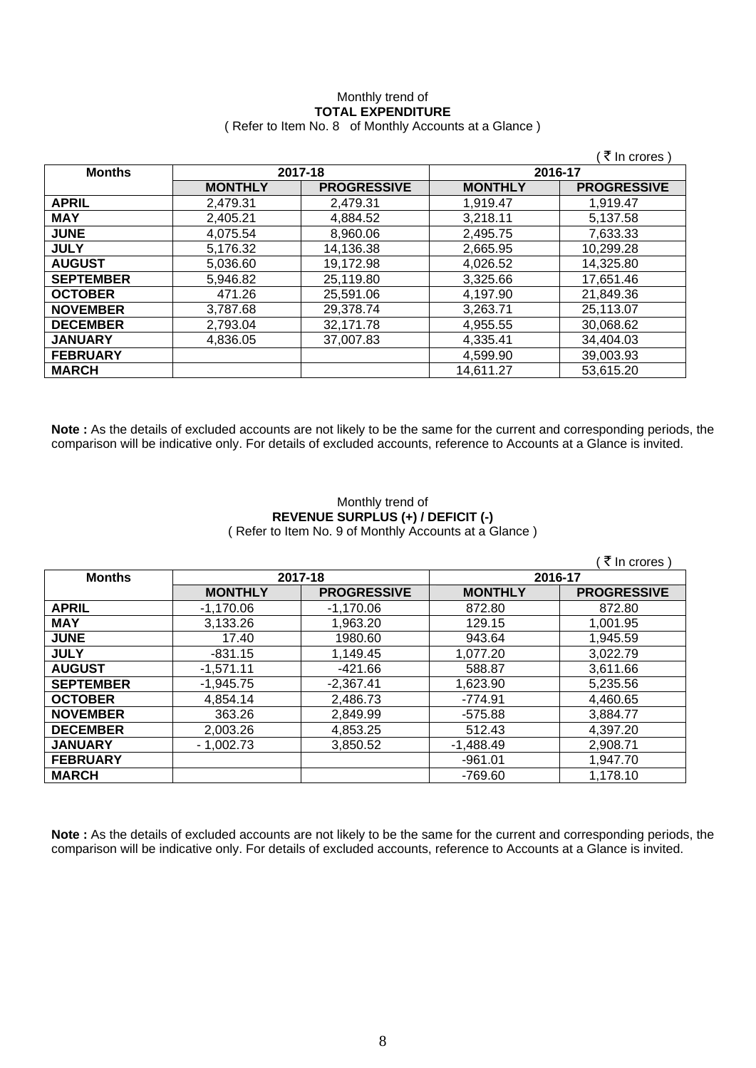## Monthly trend of **TOTAL EXPENDITURE**

|  | (Refer to Item No. 8 of Monthly Accounts at a Glance) |
|--|-------------------------------------------------------|
|--|-------------------------------------------------------|

|                  |                |                    |                | (₹ In crores)      |
|------------------|----------------|--------------------|----------------|--------------------|
| <b>Months</b>    | 2017-18        |                    | 2016-17        |                    |
|                  | <b>MONTHLY</b> | <b>PROGRESSIVE</b> | <b>MONTHLY</b> | <b>PROGRESSIVE</b> |
| <b>APRIL</b>     | 2,479.31       | 2,479.31           | 1,919.47       | 1,919.47           |
| <b>MAY</b>       | 2,405.21       | 4,884.52           | 3,218.11       | 5,137.58           |
| <b>JUNE</b>      | 4,075.54       | 8,960.06           | 2,495.75       | 7,633.33           |
| <b>JULY</b>      | 5,176.32       | 14,136.38          | 2,665.95       | 10,299.28          |
| <b>AUGUST</b>    | 5,036.60       | 19,172.98          | 4,026.52       | 14,325.80          |
| <b>SEPTEMBER</b> | 5,946.82       | 25,119.80          | 3,325.66       | 17,651.46          |
| <b>OCTOBER</b>   | 471.26         | 25,591.06          | 4,197.90       | 21,849.36          |
| <b>NOVEMBER</b>  | 3,787.68       | 29,378.74          | 3,263.71       | 25,113.07          |
| <b>DECEMBER</b>  | 2,793.04       | 32,171.78          | 4,955.55       | 30,068.62          |
| <b>JANUARY</b>   | 4,836.05       | 37,007.83          | 4,335.41       | 34,404.03          |
| <b>FEBRUARY</b>  |                |                    | 4,599.90       | 39,003.93          |
| <b>MARCH</b>     |                |                    | 14,611.27      | 53,615.20          |

**Note :** As the details of excluded accounts are not likely to be the same for the current and corresponding periods, the comparison will be indicative only. For details of excluded accounts, reference to Accounts at a Glance is invited.

### Monthly trend of **REVENUE SURPLUS (+) / DEFICIT (-)**  ( Refer to Item No. 9 of Monthly Accounts at a Glance )

|                  |                |                    |                | (₹ In crores)      |
|------------------|----------------|--------------------|----------------|--------------------|
| <b>Months</b>    | 2017-18        |                    | 2016-17        |                    |
|                  | <b>MONTHLY</b> | <b>PROGRESSIVE</b> | <b>MONTHLY</b> | <b>PROGRESSIVE</b> |
| <b>APRIL</b>     | $-1,170.06$    | $-1,170.06$        | 872.80         | 872.80             |
| <b>MAY</b>       | 3,133.26       | 1,963.20           | 129.15         | 1,001.95           |
| <b>JUNE</b>      | 17.40          | 1980.60            | 943.64         | 1,945.59           |
| <b>JULY</b>      | $-831.15$      | 1,149.45           | 1,077.20       | 3,022.79           |
| <b>AUGUST</b>    | $-1,571.11$    | $-421.66$          | 588.87         | 3,611.66           |
| <b>SEPTEMBER</b> | $-1,945.75$    | $-2,367.41$        | 1,623.90       | 5,235.56           |
| <b>OCTOBER</b>   | 4,854.14       | 2,486.73           | $-774.91$      | 4,460.65           |
| <b>NOVEMBER</b>  | 363.26         | 2,849.99           | $-575.88$      | 3,884.77           |
| <b>DECEMBER</b>  | 2,003.26       | 4,853.25           | 512.43         | 4,397.20           |
| <b>JANUARY</b>   | $-1,002.73$    | 3,850.52           | $-1,488.49$    | 2,908.71           |
| <b>FEBRUARY</b>  |                |                    | $-961.01$      | 1,947.70           |
| <b>MARCH</b>     |                |                    | -769.60        | 1,178.10           |